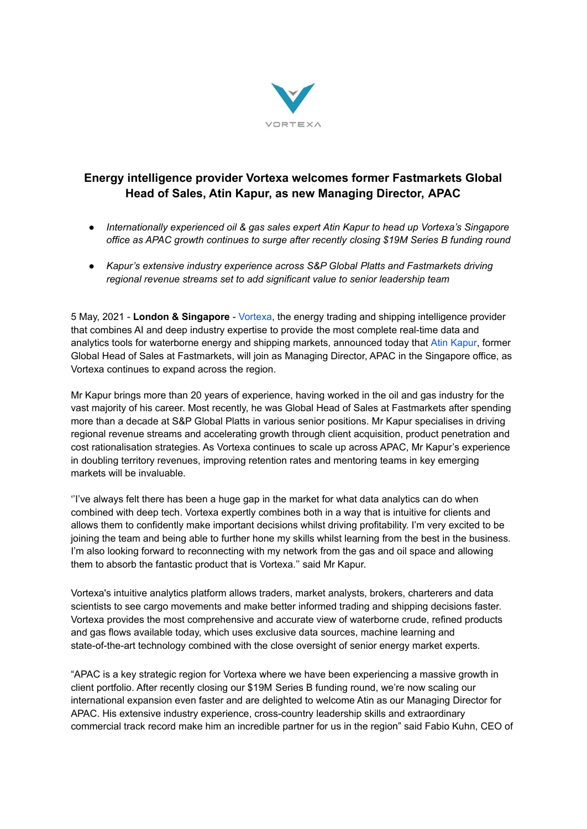

## **Energy intelligence provider Vortexa welcomes former Fastmarkets Global Head of Sales, Atin Kapur, as new Managing Director, APAC**

- *● Internationally experienced oil & gas sales expert Atin Kapur to head up Vortexa's Singapore office as APAC growth continues to surge after recently closing \$19M Series B funding round*
- *● Kapur's extensive industry experience across S&P Global Platts and Fastmarkets driving regional revenue streams set to add significant value to senior leadership team*

5 May, 2021 - **London & Singapore** - [Vortexa](https://www.vortexa.com/), the energy trading and shipping intelligence provider that combines AI and deep industry expertise to provide the most complete real-time data and analytics tools for waterborne energy and shipping markets, announced today that Atin [Kapur](https://www.linkedin.com/in/atinkapur/), former Global Head of Sales at Fastmarkets, will join as Managing Director, APAC in the Singapore office, as Vortexa continues to expand across the region.

Mr Kapur brings more than 20 years of experience, having worked in the oil and gas industry for the vast majority of his career. Most recently, he was Global Head of Sales at Fastmarkets after spending more than a decade at S&P Global Platts in various senior positions. Mr Kapur specialises in driving regional revenue streams and accelerating growth through client acquisition, product penetration and cost rationalisation strategies. As Vortexa continues to scale up across APAC, Mr Kapur's experience in doubling territory revenues, improving retention rates and mentoring teams in key emerging markets will be invaluable.

''I've always felt there has been a huge gap in the market for what data analytics can do when combined with deep tech. Vortexa expertly combines both in a way that is intuitive for clients and allows them to confidently make important decisions whilst driving profitability. I'm very excited to be joining the team and being able to further hone my skills whilst learning from the best in the business. I'm also looking forward to reconnecting with my network from the gas and oil space and allowing them to absorb the fantastic product that is Vortexa.'' said Mr Kapur.

Vortexa's intuitive analytics platform allows traders, market analysts, brokers, charterers and data scientists to see cargo movements and make better informed trading and shipping decisions faster. Vortexa provides the most comprehensive and accurate view of waterborne crude, refined products and gas flows available today, which uses exclusive data sources, machine learning and state-of-the-art technology combined with the close oversight of senior energy market experts.

"APAC is a key strategic region for Vortexa where we have been experiencing a massive growth in client portfolio. After recently closing our \$19M Series B funding round, we're now scaling our international expansion even faster and are delighted to welcome Atin as our Managing Director for APAC. His extensive industry experience, cross-country leadership skills and extraordinary commercial track record make him an incredible partner for us in the region" said Fabio Kuhn, CEO of